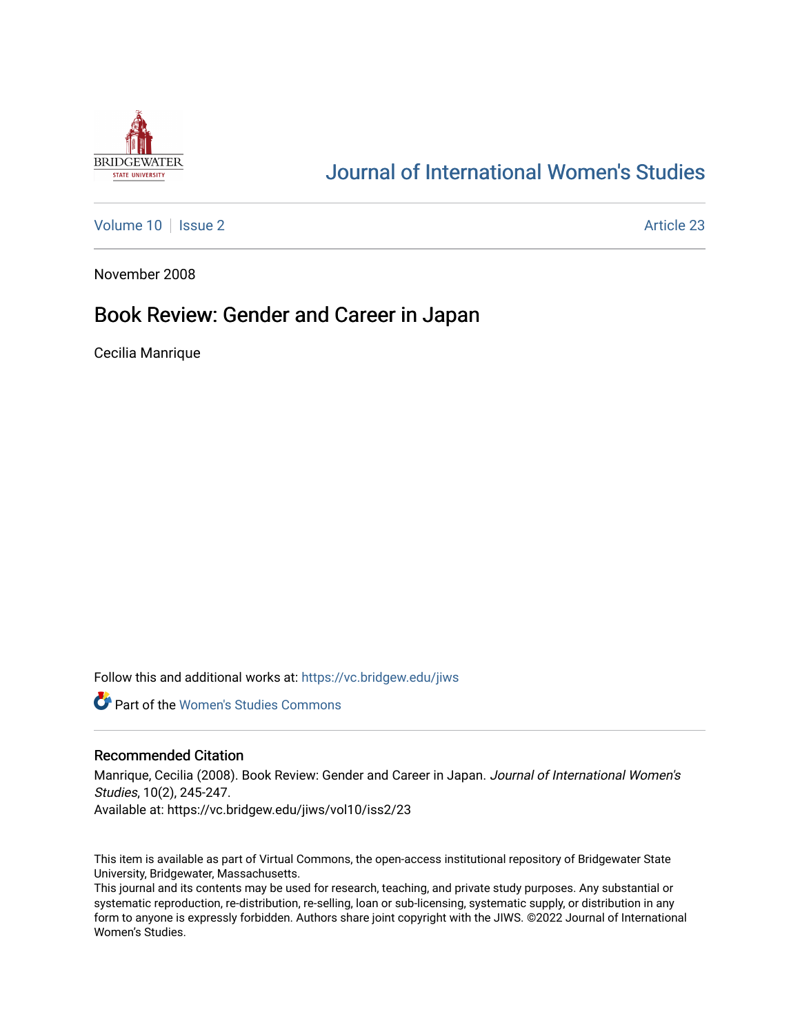

## [Journal of International Women's Studies](https://vc.bridgew.edu/jiws)

[Volume 10](https://vc.bridgew.edu/jiws/vol10) | [Issue 2](https://vc.bridgew.edu/jiws/vol10/iss2) Article 23

November 2008

## Book Review: Gender and Career in Japan

Cecilia Manrique

Follow this and additional works at: [https://vc.bridgew.edu/jiws](https://vc.bridgew.edu/jiws?utm_source=vc.bridgew.edu%2Fjiws%2Fvol10%2Fiss2%2F23&utm_medium=PDF&utm_campaign=PDFCoverPages)

**C** Part of the Women's Studies Commons

## Recommended Citation

Manrique, Cecilia (2008). Book Review: Gender and Career in Japan. Journal of International Women's Studies, 10(2), 245-247.

Available at: https://vc.bridgew.edu/jiws/vol10/iss2/23

This item is available as part of Virtual Commons, the open-access institutional repository of Bridgewater State University, Bridgewater, Massachusetts.

This journal and its contents may be used for research, teaching, and private study purposes. Any substantial or systematic reproduction, re-distribution, re-selling, loan or sub-licensing, systematic supply, or distribution in any form to anyone is expressly forbidden. Authors share joint copyright with the JIWS. ©2022 Journal of International Women's Studies.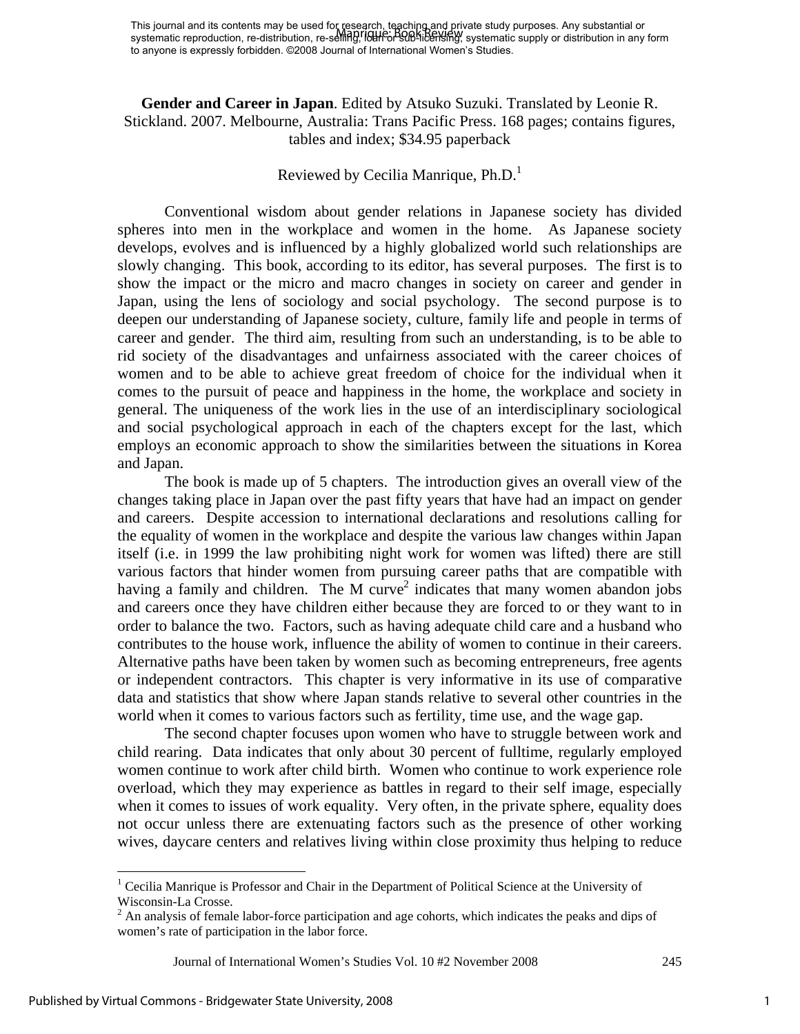**Gender and Career in Japan**. Edited by Atsuko Suzuki. Translated by Leonie R. Stickland. 2007. Melbourne, Australia: Trans Pacific Press. 168 pages; contains figures, tables and index; \$34.95 paperback

## Reviewed by Cecilia Manrique,  $Ph.D.<sup>1</sup>$

 Conventional wisdom about gender relations in Japanese society has divided spheres into men in the workplace and women in the home. As Japanese society develops, evolves and is influenced by a highly globalized world such relationships are slowly changing. This book, according to its editor, has several purposes. The first is to show the impact or the micro and macro changes in society on career and gender in Japan, using the lens of sociology and social psychology. The second purpose is to deepen our understanding of Japanese society, culture, family life and people in terms of career and gender. The third aim, resulting from such an understanding, is to be able to rid society of the disadvantages and unfairness associated with the career choices of women and to be able to achieve great freedom of choice for the individual when it comes to the pursuit of peace and happiness in the home, the workplace and society in general. The uniqueness of the work lies in the use of an interdisciplinary sociological and social psychological approach in each of the chapters except for the last, which employs an economic approach to show the similarities between the situations in Korea and Japan.

 The book is made up of 5 chapters. The introduction gives an overall view of the changes taking place in Japan over the past fifty years that have had an impact on gender and careers. Despite accession to international declarations and resolutions calling for the equality of women in the workplace and despite the various law changes within Japan itself (i.e. in 1999 the law prohibiting night work for women was lifted) there are still various factors that hinder women from pursuing career paths that are compatible with having a family and children. The M curve<sup>2</sup> indicates that many women abandon jobs and careers once they have children either because they are forced to or they want to in order to balance the two. Factors, such as having adequate child care and a husband who contributes to the house work, influence the ability of women to continue in their careers. Alternative paths have been taken by women such as becoming entrepreneurs, free agents or independent contractors. This chapter is very informative in its use of comparative data and statistics that show where Japan stands relative to several other countries in the world when it comes to various factors such as fertility, time use, and the wage gap.

 The second chapter focuses upon women who have to struggle between work and child rearing. Data indicates that only about 30 percent of fulltime, regularly employed women continue to work after child birth. Women who continue to work experience role overload, which they may experience as battles in regard to their self image, especially when it comes to issues of work equality. Very often, in the private sphere, equality does not occur unless there are extenuating factors such as the presence of other working wives, daycare centers and relatives living within close proximity thus helping to reduce

Journal of International Women's Studies Vol. 10 #2 November 2008 245

 $\overline{a}$ 

<sup>&</sup>lt;sup>1</sup> Cecilia Manrique is Professor and Chair in the Department of Political Science at the University of Wisconsin-La Crosse.

 $2^2$  An analysis of female labor-force participation and age cohorts, which indicates the peaks and dips of women's rate of participation in the labor force.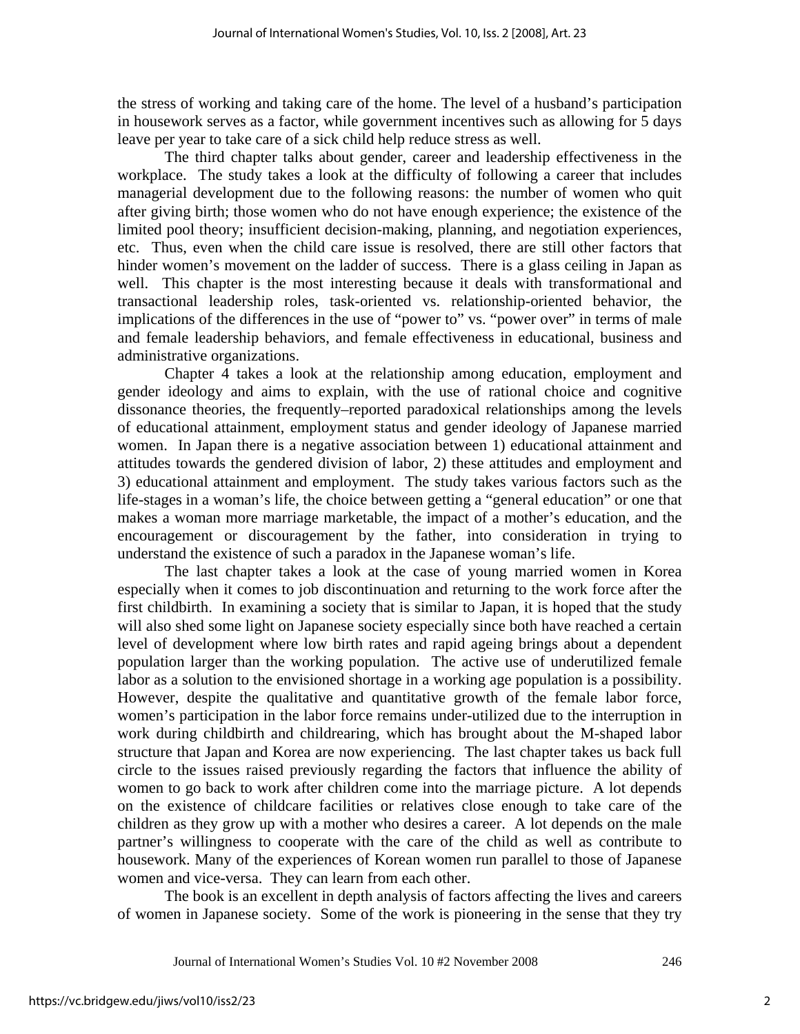the stress of working and taking care of the home. The level of a husband's participation in housework serves as a factor, while government incentives such as allowing for 5 days leave per year to take care of a sick child help reduce stress as well.

 The third chapter talks about gender, career and leadership effectiveness in the workplace. The study takes a look at the difficulty of following a career that includes managerial development due to the following reasons: the number of women who quit after giving birth; those women who do not have enough experience; the existence of the limited pool theory; insufficient decision-making, planning, and negotiation experiences, etc. Thus, even when the child care issue is resolved, there are still other factors that hinder women's movement on the ladder of success. There is a glass ceiling in Japan as well. This chapter is the most interesting because it deals with transformational and transactional leadership roles, task-oriented vs. relationship-oriented behavior, the implications of the differences in the use of "power to" vs. "power over" in terms of male and female leadership behaviors, and female effectiveness in educational, business and administrative organizations.

 Chapter 4 takes a look at the relationship among education, employment and gender ideology and aims to explain, with the use of rational choice and cognitive dissonance theories, the frequently–reported paradoxical relationships among the levels of educational attainment, employment status and gender ideology of Japanese married women. In Japan there is a negative association between 1) educational attainment and attitudes towards the gendered division of labor, 2) these attitudes and employment and 3) educational attainment and employment. The study takes various factors such as the life-stages in a woman's life, the choice between getting a "general education" or one that makes a woman more marriage marketable, the impact of a mother's education, and the encouragement or discouragement by the father, into consideration in trying to understand the existence of such a paradox in the Japanese woman's life.

 The last chapter takes a look at the case of young married women in Korea especially when it comes to job discontinuation and returning to the work force after the first childbirth. In examining a society that is similar to Japan, it is hoped that the study will also shed some light on Japanese society especially since both have reached a certain level of development where low birth rates and rapid ageing brings about a dependent population larger than the working population. The active use of underutilized female labor as a solution to the envisioned shortage in a working age population is a possibility. However, despite the qualitative and quantitative growth of the female labor force, women's participation in the labor force remains under-utilized due to the interruption in work during childbirth and childrearing, which has brought about the M-shaped labor structure that Japan and Korea are now experiencing. The last chapter takes us back full circle to the issues raised previously regarding the factors that influence the ability of women to go back to work after children come into the marriage picture. A lot depends on the existence of childcare facilities or relatives close enough to take care of the children as they grow up with a mother who desires a career. A lot depends on the male partner's willingness to cooperate with the care of the child as well as contribute to housework. Many of the experiences of Korean women run parallel to those of Japanese women and vice-versa. They can learn from each other.

The book is an excellent in depth analysis of factors affecting the lives and careers of women in Japanese society. Some of the work is pioneering in the sense that they try

Journal of International Women's Studies Vol. 10 #2 November 2008 246